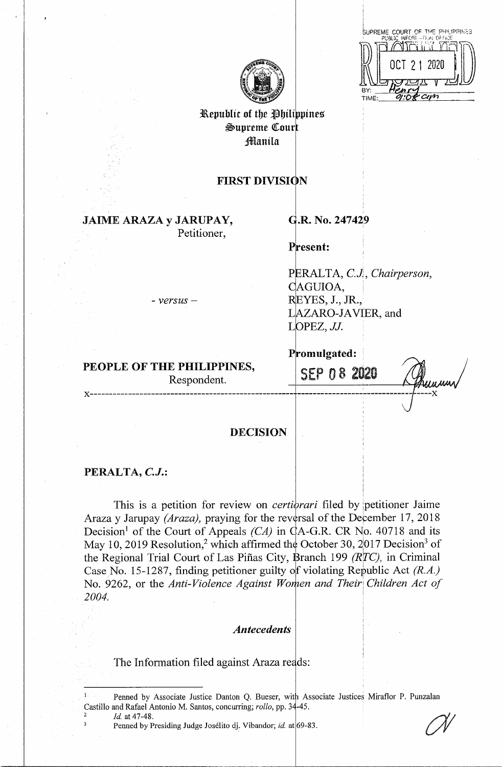|              | SUPREME COURT OF THE PHILIPPINES |
|--------------|----------------------------------|
|              | PUBLIC INFORE STEAR OFFICE       |
|              | OCT 21 2020                      |
|              |                                  |
| RY:<br>TIME: |                                  |



Republic of the Philippines Supreme Court **Manila** 

# **FIRST DIVISION**

**JAIME ARAZA y JARUPAY,** 

Petitioner,

# **G.R. No. 247429**

**Present:** 

PERAL TA, *C.J, Chairperson,*  **~AGUIOA,** • YES, J., JR., LAZARO-JAVIER, and LOPEZ, JJ.

- *versus* -

# **PEOPLE OF THE PHILIPPINES,**

Respondent.

SEP O 8 2020

Promulgated:

**x-----------------------------------------------------** ------------------------------ **----x** 

# **DECISION**

## **PERALTA,** *C.J.:*

This is a petition for review on *certiorari* filed by petitioner Jaime Araza y Jarupay *(Araza)*, praying for the reversal of the December 17, 2018 Decision<sup>1</sup> of the Court of Appeals *(CA)* in  $\mathcal{A}$ -G.R. CR No. 40718 and its May 10, 2019 Resolution,<sup>2</sup> which affirmed the October 30, 2017 Decision<sup>3</sup> of the Regional Trial Court of Las Piñas City, Branch 199 *(RTC)*, in Criminal Case No. 15-1287, finding petitioner guilty of violating Republic Act *(R.A.)* No. 9262, or the *Anti-Violence Against Worhen and Their Children Act of 2004.* 

## *Antecedents*

The Information filed against Araza reads:

<sup>2</sup>*Id.* at 47-48.

Penned by Associate Justice Danton Q. Bueser, with Associate Justices Miraflor P. Punzalan Castillo and Rafael Antonio M. Santos, concurring; *rollo*, pp. 34-45.

Penned by Presiding Judge Josélito dj. Vibandor; *id.* at 69-83.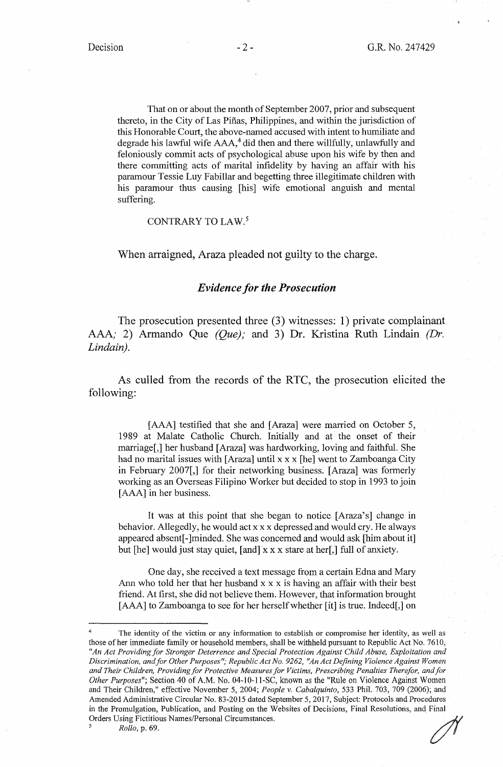That on or about the month of September 2007, prior and subsequent thereto, in the City of Las Piñas, Philippines, and within the jurisdiction of this Honorable Court, the above-named accused with intent to humiliate and degrade his lawful wife AAA,<sup>4</sup> did then and there willfully, unlawfully and feloniously commit acts of psychological abuse upon his wife by then and there committing acts of marital infidelity by having an affair with his paramour Tessie Luy Fabillar and begetting three illegitimate children with his paramour thus causing [his] wife emotional anguish and mental suffering.

## CONTRARY TO LAW.<sup>5</sup>

When arraigned, Araza pleaded not guilty to the charge.

## *Evidence for the Prosecution*

The prosecution presented three (3) witnesses: 1) private complainant AAA; 2) Armando Que *(Que);* and 3) Dr. Kristina Ruth Lindain *(Dr. Lindain).* 

As culled from the records of the RTC, the prosecution elicited the following:

[AAA] testified that she and [Araza] were married on October 5, 1989 at Malate Catholic Church. Initially and at the onset of their marriage[,] her husband [Araza] was hardworking, loving and faithful. She had no marital issues with [ Araza] until x x x [he] went to Zamboanga City in February 2007[,] for their networking business. [Araza] was formerly working as an Overseas Filipino Worker but decided to stop in 1993 to join [AAA] in her business.

It was at this point that she began to notice [Araza's] change in behavior. Allegedly, he would act xx x depressed and would cry. He always appeared absent[-]minded. She was concerned and would ask [him about it] but [he] would just stay quiet, [and] x x x stare at her[,] full of anxiety.

One day, she received a text message from a certain Edna and Mary Ann who told her that her husband x x x is having an affair with their best friend. At first, she did not believe them. However, that information brought [AAA] to Zamboanga to see for her herself whether [it] is true. Indeed[,] on

The identity of the victim or any information to establish or compromise her identity, as well as those of her immediate family or household members, shall be withheld pursuant to Republic Act No. 7610; *"An Act Providing for Stronger Deterrence and Special Protection Against Child Abuse, Exploitation and Discrimination, and for Other Purposes"; Republic Act No. 9262, ''An Act Defining Violence Against Women and Their Children, Providingfor Protective Measures for Victims, Prescribing Penalties Therefor, and for Other Purposes";* Section 40 of A.M. No. 04-10-11-SC, known as the "Rule on Violence Against Women and Their Children," effective November 5, 2004; *People v. Cabalquinto,* 533 Phil. 703, 709 (2006); and Amended Administrative Circular No. 83-2015 dated September 5, 2017, Subject: Protocols and Procedures Amended Administrative Circular No. 83-2015 dated September 5, 2017, Subject: Protocols and Procedures<br>in the Promulgation, Publication, and Posting on the Websites of Decisions, Final Resolutions, and Final<br>Orders Using F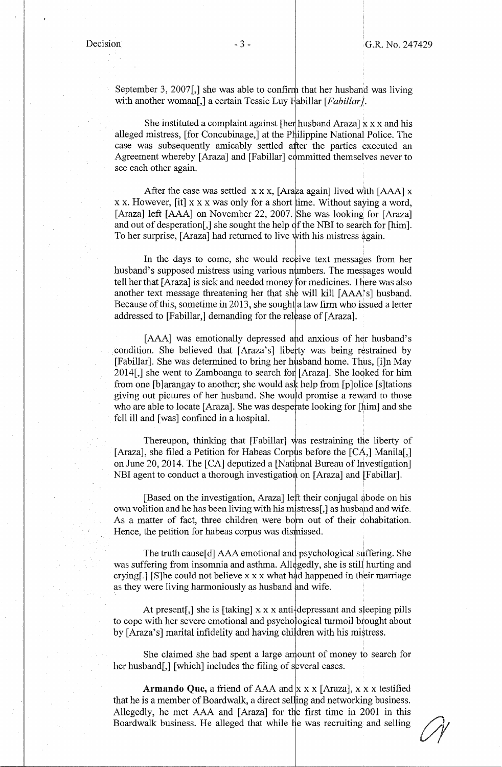September 3, 2007, She was able to confirm that her husband was living with another woman<sup>[</sup>,] a certain Tessie Luy Fabillar [*Fabillar*].

She instituted a complaint against  $\left[\frac{\partial u}{\partial x} + \frac{\partial u}{\partial y}\right]$  x x x and his alleged mistress, [for Concubinage,] at the Philippine National Police. The case was subsequently amicably settled after the parties executed an Agreement whereby [Araza] and [Fabillar] committed themselves never to see each other again.

After the case was settled  $x \times x$ , [Araza again] lived with [AAA]  $x$ xx. However, [it] xx x was only for a short ime. Without saying a word, [Araza] left [AAA] on November 22, 2007. She was looking for [Araza] and out of desperation[,] she sought the help of the NBI to search for [him]. To her surprise, [Araza] had returned to live with his mistress again.

In the days to come, she would receive text messages from her husband's supposed mistress using various numbers. The messages would tell her that [Araza] is sick and needed money for medicines. There was also another text message threatening her that she will kill  $[AAA^s]$  husband. Because of this, sometime in 2013, she sought a law firm who issued a letter addressed to [Fabillar,] demanding for the release of [Araza].

[AAA] was emotionally depressed and anxious of her husband's condition. She believed that [Araza's] liberty was being restrained by [Fabillar]. She was determined to bring her husband home. Thus, [i]n May 2014[,] she went to Zamboanga to search for [Araza]. She loqked for him from one [b] arangay to another; she would as  $\frac{1}{k}$  help from [p] olice [s] tations giving out pictures of her husband. She would promise a reward to those who are able to locate [Araza]. She was desperate looking for [him] and she fell ill and [was] confined in a hospital. \

Thereupon, thinking that [Fabillar] was restraining the liberty of [Araza], she filed a Petition for Habeas Corpus before the  $[CA,]$  Manila[,] on June 20, 2014. The  $[CA]$  deputized a [National Bureau of Investigation] NBI agent to conduct a thorough investigation on [Araza] and [Fabillar].

[Based on the investigation, Araza] left their conjugal abode on his own volition and he has been living with his mistress[,] as husband and wife. As a matter of fact, three children were born out of their cohabitation. Hence, the petition for habeas corpus was dismissed.

The truth cause[d] AAA emotional and psychological suffering. She was suffering from insomnia and asthma. All gedly, she is still hurting and crying[.] [S]he could not believe x x x what had happened in their marriage as they were living harmoniously as husband and wife.

At present[,] she is [taking]  $x \times x$  anti-depressant and sleeping pills to cope with her severe emotional and psychological turmoil brought about by [Araza's] marital infidelity and having children with his mistress.

She claimed she had spent a large amount of money to search for her husband[,] [which] includes the filing of several cases.

**Armando Que, a** friend of AAA and  $x \times x$  [Araza],  $x \times x$  testified that he is a member of Boardwalk, a direct selling and networking business. Allegedly, he met AAA and [Araza] for the first time in 2001 in this Boardwalk business. He alleged that while he was recruiting and selling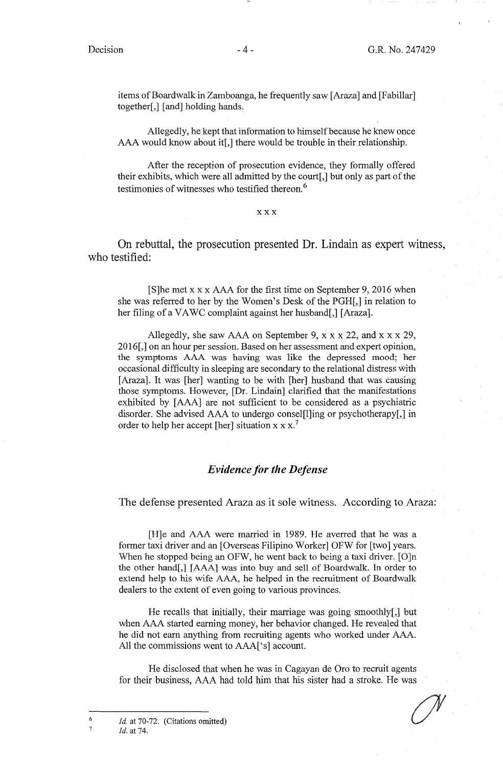items of Boardwalk in Zamboanga, he frequently saw [ Araza] and [Fabillar] together[,] [ and] holding hands.

Allegedly, he kept that information to himself because he knew once AAA would know about it[,] there would be trouble in their relationship.

After the reception of prosecution evidence, they formally offered their exhibits, which were all admitted by the court[,] but only as part of the testimonies of witnesses who testified thereon. <sup>6</sup>

#### **XXX**

On rebuttal, the prosecution presented Dr. Lindain as expert witness, who testified:

[S]he met xx x AAA for the first time on September 9, 2016 when she was referred to her by the Women's Desk of the PGH[,] in relation to her filing of a VAWC complaint against her husband[,] [Araza].

Allegedly, she saw AAA on September 9,  $x \times x$  22, and  $x \times x$  29, 2016[,] on an hour per session. Based on her assessment and expert opinion, the symptoms AAA was having was like the depressed mood; her occasional difficulty in sleeping are secondary to the relational distress with [Araza]. It was [her] wanting to be with [her] husband that was causing those symptoms. However, [Dr. Lindain] clarified that the manifestations exhibited by [AAA] are not sufficient to be considered as a psychiatric disorder. She advised AAA to undergo consel[l]ing or psychotherapy[,] in order to help her accept [her] situation  $x x x$ .<sup>7</sup>

## *Evidence for the Defense*

The defense presented Araza as it sole witness. According to Araza:

[H]e and AAA were married in 1989. He averred that he was a former taxi driver and an [Overseas Filipino Worker] OFW for [two] years. When he stopped being an OFW, he went back to being a taxi driver. [O]n the other hand[,] [AAA] was into buy and sell of Boardwalk. In order to extend help to his wife AAA, he helped in the recruitment of Boardwalk dealers to the extent of even going to various provinces.

He recalls that initially, their marriage was going smoothly[,] but when AAA started earning money, her behavior changed. He revealed that he did not earn anything from recruiting agents who worked under AAA. All the commissions went to AAA['s] account.

He disclosed that when he was in Cagayan de Oro to recruit agents for their business, AAA had told him that his sister had a stroke. He was

Id. at 70-72. (Citations omitted) Id. at 74.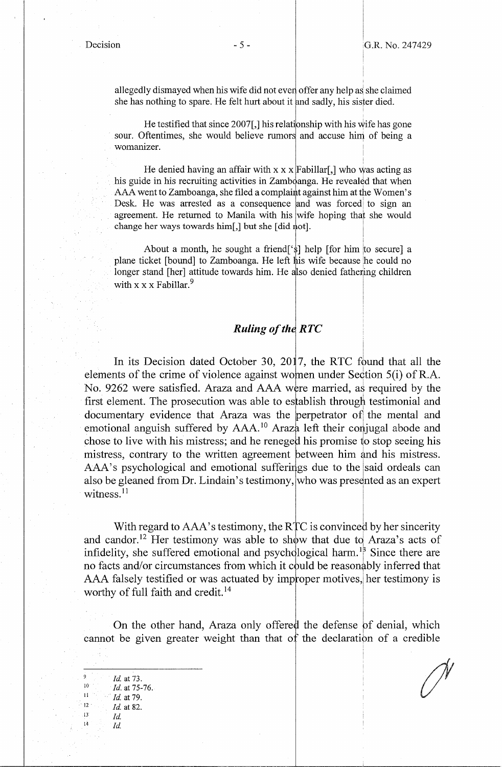I I

 $\overline{\phantom{a}}$ 

allegedly dismayed when his wife did not even offer any help as she claimed she has nothing to spare. He felt hurt about it and sadly, his sister died.

He testified that since  $2007$ [,] his relationship with his wife has gone sour. Oftentimes, she would believe rumors and accuse him of being a womanizer.

He denied having an affair with  $x \times x$  Fabillar[,] who was acting as his guide in his recruiting activities in Zamboanga. He revealed that when AAA went to Zamboanga, she filed a complaint against him at the Women's Desk. He was arrested as a consequence and was forced to sign an agreement. He returned to Manila with his wife hoping that she would change her ways towards him[,] but she [did  $\phi$ ot].

About a month, he sought a friend['\$] help [for him |to secure] a plane ticket [bound] to Zamboanga. He left his wife because he could no longer stand [her] attitude towards him. He also denied fathering children with  $x \times x$  Fabillar.<sup>9</sup>

## **Ruling of the RTC**

In its Decision dated October 30, 2017, the RTC found that all the elements of the crime of violence against women under Section 5(i) of R.A. No. 9262 were satisfied. Araza and AAA were married, as required by the first element. The prosecution was able to establish through testimonial and documentary evidence that Araza was the perpetrator of the mental and emotional anguish suffered by AAA.<sup>10</sup> Araza left their conjugal abode and chose to live with his mistress; and he reneged his promise to stop seeing his mistress, contrary to the written agreement between him and his mistress. AAA's psychological and emotional sufferings due to the said ordeals can also be gleaned from Dr. Lindain's testimony, who was presented as an expert witness.<sup>11</sup>

With regard to AAA's testimony, the RTC is convinced by her sincerity and candor.<sup>12</sup> Her testimony was able to show that due to Araza's acts of and candon. Then resultionly was able to show that due to Friaza's acts of infidelity, she suffered emotional and psychological harm.<sup>18</sup> Since there are no facts and/or circumstances from which it could be reasonably inferred that AAA falsely testified or was actuated by improper motives, her testimony is worthy of full faith and credit.<sup>14</sup>

On the other hand, Araza only offered the defense of denial, which cannot be given greater weight than that of the declaration of a credible

9 *Id.* at 73.<br>
<sup>10</sup> *Id.* at 75-76.<br>
<sup>11</sup> *Id.* at 79.<br>
<sup>12</sup> *Id.* at 82.<br> *Id.* 14 *Id.*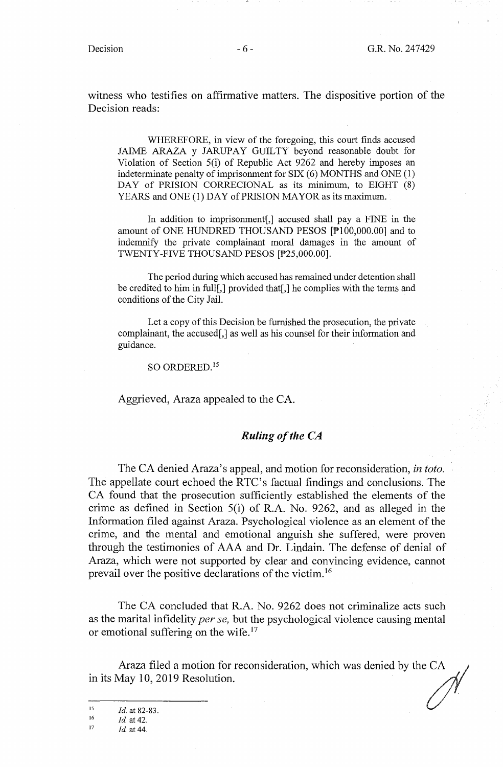*1* 

witness who testifies on affirmative matters. The dispositive portion of the Decision reads:

WHEREFORE, in view of the foregoing, this court finds accused JAIME ARAZA y JARUPAY GUILTY beyond reasonable doubt for Violation of Section 5(i) of Republic Act 9262 and hereby imposes an indeterminate penalty of imprisonment for SIX (6) MONTHS and ONE (1) DAY of PRISION CORRECIONAL as its minimum, to EIGHT (8) YEARS and ONE (1) DAY of PRISION MAYOR as its maximum.

In addition to imprisonment[,] accused shall pay a FINE in the amount of ONE HUNDRED THOUSAND PESOS [P100,000.00] and to indemnify the private complainant moral damages in the amount of TWENTY-FIVE THOUSAND PESOS [P25,000.00].

The period during which accused has remained under detention shall be credited to him in full[,] provided that[,] he complies with the terms and conditions of the City Jail.

Let a copy of this Decision be furnished the prosecution, the private complainant, the accused[,] as well as his counsel for their information and guidance.

so ORDERED. <sup>15</sup>

Aggrieved, Araza appealed to the CA.

## *Ruling of the CA*

The CA denied Araza's appeal, and motion for reconsideration, *in toto*. The appellate court echoed the RTC's factual findings and conclusions. The CA found that the prosecution sufficiently established the elements of the crime as defined in Section 5(i) of R.A. No. 9262, and as alleged in the Information filed against Araza. Psychological violence as an element of the crime, and the mental and emotional anguish she suffered, were proven through the testimonies of AAA and Dr. Lindain. The defense of denial of Araza, which were not supported by clear and convincing evidence, cannot prevail over the positive declarations of the victim. <sup>16</sup>

The CA concluded that R.A. No. 9262 does not criminalize acts such as the marital infidelity *per se,* but the psychological violence causing mental or emotional suffering on the wife.<sup>17</sup>

**Araza filed a motion for reconsideration, which was denied by the** *Cd*  Araza filed a motion for reconsideration, which was denied by the CA in its May 10, 2019 Resolution.

<sup>15</sup>*Id.* at 82-83. 16 *Id.* at 42. 17 *Id* at 44.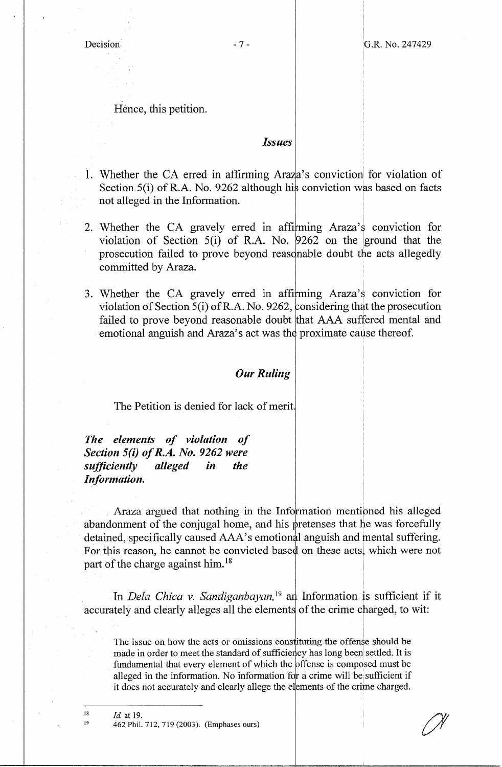I I

I

I

'

I  $\mathbf{I}$ 

Hence, this petition.

## *Issues*

- 1. Whether the CA erred in affirming Araza's conviction for violation of Section 5(i) of R.A. No. 9262 although his conviction was based on facts not alleged in the Information.
- 2. Whether the CA gravely erred in affirming Araza's conviction for violation of Section 5(i) of R.A. No. *9262* on the lground that the prosecution failed to prove beyond reasonable doubt the acts allegedly committed by Araza.
- i 3. Whether the CA gravely erred in affirming Araza's conviction for violation of Section 5(i) of R.A. No. 9262, considering that the prosecution failed to prove beyond reasonable doubt that AAA suffered mental and emotional anguish and Araza's act was the proximate cause thereof.

# *Our Ruling*

The Petition is denied for lack of merit

*The elements of violation of Section 5(i) of R.A. No. 9262 were sufficiently alleged in the Information.* 

I Araza argued that nothing in the Information mentioned his alleged abandonment of the conjugal home, and his pretenses that he was forcefully detained, specifically caused AAA's emotional anguish and mental suffering. For this reason, he cannot be convicted based on these acts, which were not part of the charge against him.<sup>18</sup>

In *Dela Chica v. Sandiganbayan*,<sup>19</sup> and Information is sufficient if it accurately and clearly alleges all the elements of the crime charged, to wit:

The issue on how the acts or omissions constituting the offense should be made in order to meet the standard of sufficiency has long been settled. It is fundamental that every element of which the offense is composed must be alleged in the information. No information for a crime will be sufficient if it does not accurately and clearly allege the elements of the crime charged.

18 19

462 Phil. 712, 719 (2003). (Emphases ours)

*Id.* at 19.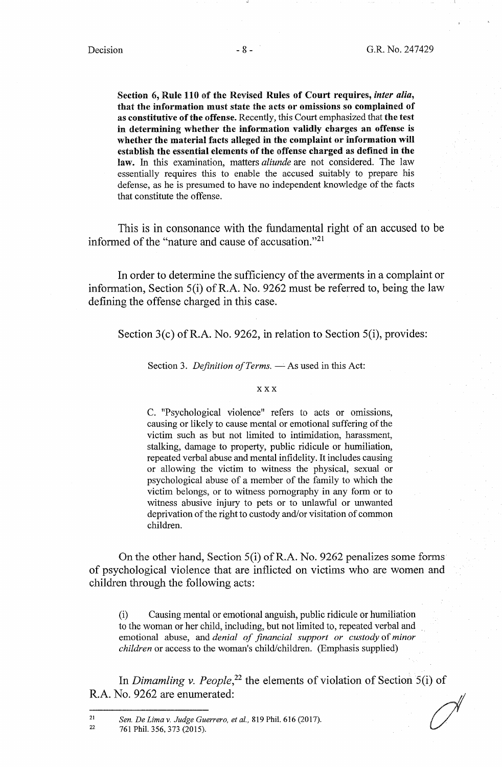**Section 6, Rule 110** of **the Revised Rules of Court requires,** *inter alia,*  **that the information must state the acts or omissions so complained of as constitutive ofthe offense.** Recently, this Court emphasized that **the test in determining whether the information validly charges an offense is whether the material facts alleged in the complaint or information will establish the essential elements of the offense charged as defined in the**  law. In this examination, matters *aliunde* are not considered. The law essentially requires this to enable the accused suitably to prepare his defense, as he is presumed to have no independent knowledge of the facts that constitute the offense.

This is in consonance with the fundamental right of an accused to be informed of the "nature and cause of accusation."<sup>21</sup>

In order to determine the sufficiency of the averments in a complaint or information, Section 5(i) of R.A. No. 9262 must be referred to, being the law defining the offense charged in this case.

Section  $3(c)$  of R.A. No. 9262, in relation to Section  $5(i)$ , provides:

Section 3. *Definition of Terms*. — As used in this Act:

## **XXX**

C. "Psychological violence" refers to acts or omissions, causing or likely to cause mental or emotional suffering of the victim such as but not limited to intimidation, harassment, stalking, damage to property, public ridicule or humiliation, repeated verbal abuse and mental infidelity. It includes causing or allowing the victim to witness the physical, sexual or psychological abuse of a member of the family to which the victim belongs, or to witness pornography in any form or to witness abusive injury to pets or to unlawful or unwanted deprivation of the right to custody and/or visitation of common children.

On the other hand, Section S(i) of R.A. No. 9262 penalizes some forms of psychological violence that are inflicted on victims who are women and children through the following acts:

(i) Causing mental or emotional anguish, public ridicule or humiliation to the woman or her child, including, but not limited to, repeated verbal and emotional abuse, and *denial of financial support or custody* of *minor children* or access to the woman's child/children. (Emphasis supplied)

In *Dimamling v. People*,<sup>22</sup> the elements of violation of Section 5(i) of R.A. No. 9262 are enumerated:

22 761 Phil. 356,373 (2015).

<sup>21</sup>  *Sen. De Lima v. Judge Guerrero, et al.,* 819 Phil. 616 (2017).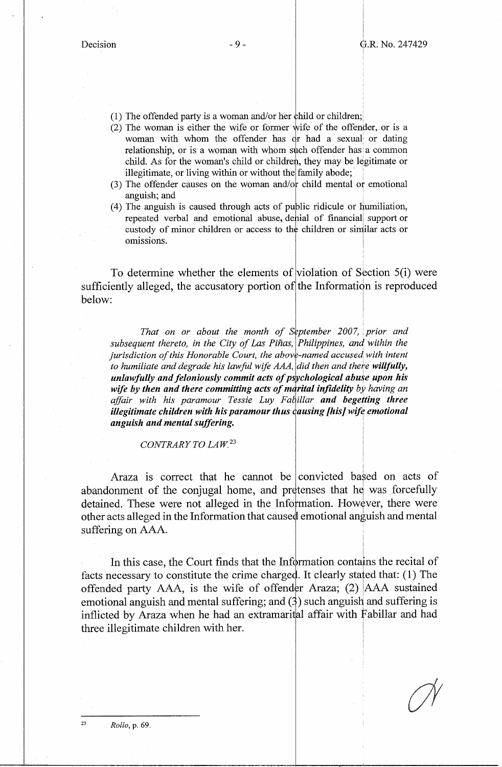i

I

- (1) The offended party is a woman and/or her child or children;
- $(2)$  The woman is either the wife or former wife of the offender, or is a woman with whom the offender has  $\alpha$  had a sexual or dating relationship, or is a woman with whom such offender has a common child. As for the woman's child or children, they may be legitimate or illegitimate, or living within or without the family abode;
- $(3)$  The offender causes on the woman and/or child mental or emotional anguish; and
- $(4)$  The anguish is caused through acts of public ridicule or humiliation, repeated verbal and emotional abuse, denial of financial support or custody of minor children or access to the children or similar acts or • • I om1ss10ns. <sup>1</sup> i

To determine whether the elements of violation of Section 5(i) were sufficiently alleged, the accusatory portion of the Information is reproduced below: below: The contract of the contract of the contract of the contract of the contract of the contract of the contract of the contract of the contract of the contract of the contract of the contract of the contract of the con

*That on or about the month of September 2007, prior and* subsequent thereto, in the City of Las Piñas, Philippines, and within the *jurisdiction of this Honorable Court, the above-named accused with intent to humiliate and degrade his lawful wife AAA, did then and there willfully, unlawfully and feloniously commit acts of psychological abuse upon his* wife by then and there committing acts of marital infidelity by having an affair with his paramour Tessie Luy Fabillar and begetting three *illegitimate children with his paramour thus causing [his] wife emotional anguish and mental suffering.* :

*CONTRARY TO LAW <sup>23</sup>*

I Araza is correct that he cannot be convicted based on acts of abandonment of the conjugal home, and pretenses that he was forcefully detained. These were not alleged in the Information. However, there were other acts alleged in the Information that caused emotional anguish and mental suffering on AAA.

In this case, the Court finds that the Information contains the recital of facts necessary to constitute the crime charged. It clearly stated that: (1) The d. n c<br>der An<br>(3) suc<br>ital afl offended party  $AAA$ , is the wife of offender Araza; (2)  $|AAA$  sustained emotional anguish and mental suffering; and  $(3)$  such anguish and suffering is inflicted by Araza when he had an extramarital affair with Fabillar and had three illegitimate children with her. !

23 *Rollo,* p. 69.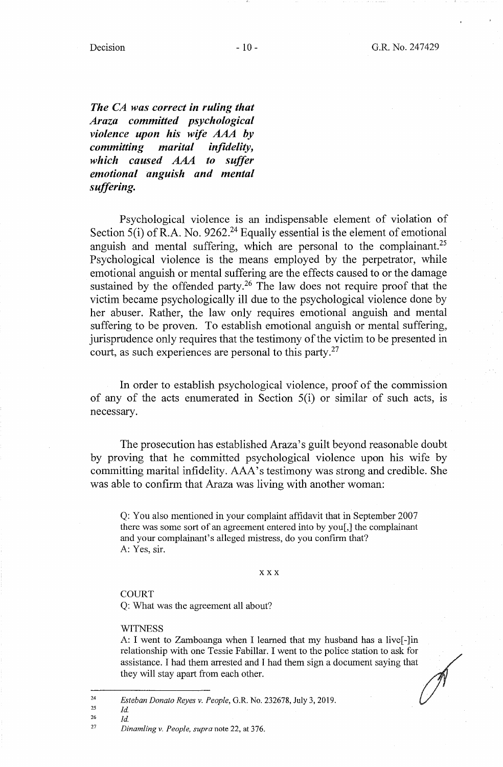$Decision$  - 10 -

*The CA was correct in ruling that Araza committed psychological violence upon his wife AAA* **by**  *committing marital infidelity, which caused* AAA *to suffer emotional anguish and mental suffering.* 

Psychological violence is an indispensable element of violation of Section  $5(i)$  of R.A. No. 9262.<sup>24</sup> Equally essential is the element of emotional anguish and mental suffering, which are personal to the complainant.<sup>25</sup> Psychological violence is the means employed by the perpetrator, while emotional anguish or mental suffering are the effects caused to or the damage sustained by the offended party.<sup>26</sup> The law does not require proof that the victim became psychologically ill due to the psychological violence done by her abuser. Rather, the law only requires emotional anguish and mental suffering to be proven. To establish emotional anguish or mental suffering, jurisprudence only requires that the testimony of the victim to be presented in court, as such experiences are personal to this party.<sup>27</sup>

In order to establish psychological violence, proof of the commission of any of the acts enumerated in Section 5(i) or similar of such acts, is necessary.

The prosecution has established Araza's guilt beyond reasonable doubt by proving that he committed psychological violence upon his wife by committing marital infidelity. AAA's testimony was strong and credible. She was able to confirm that Araza was living with another woman:

Q: You also mentioned in your complaint affidavit that in September 2007 there was some sort of an agreement entered into by you[,] the complainant and your complainant's alleged mistress, do you confirm that? A: Yes, sir.

**XXX** 

## COURT

Q: What was the agreement all about?

**WITNESS** 

A: I went to Zamboanga when I learned that my husband has a live[-]in relationship with one Tessie Fabillar. I went to the police station to ask for assistance. I had them arrested and I had them sign a document saying that they will stay apart from each other.

<sup>24</sup>  *Esteban Donato Reyes v. People,* G.R. No. 232678, July 3, 2019.

<sup>25</sup>  *Id.* 

<sup>26</sup>  *Id.* 

<sup>27</sup>  *Dinamling v. People, supra* note 22, at 376.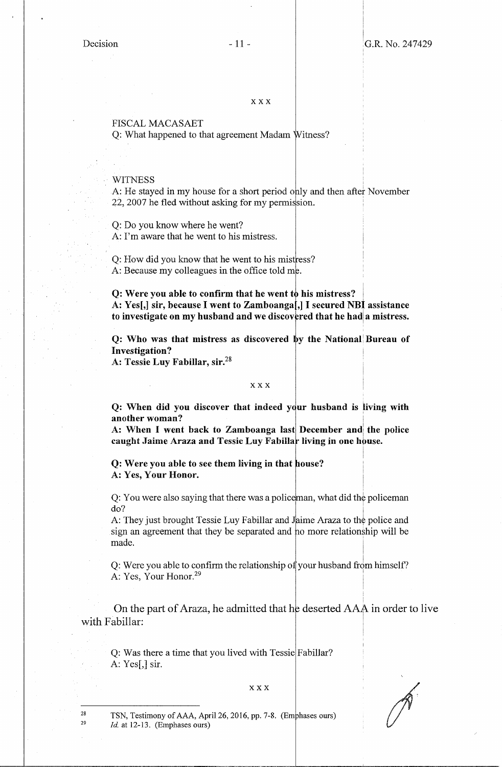## FISCAL MACASAET

 $Q:$  What happened to that agreement Madam Witness?

## WITNESS

A: He stayed in my house for a short period only and then after November  $22, 2007$  he fled without asking for my permission.

Q: Do you know where he went? A: I'm aware that he went to his mistress.

Q: How did you know that he went to his mist ress? A: Because my colleagues in the office told me.

**Q:** Were you able to confirm that he went to his mistress? I **A: Yes[,] sir, because** I **went to Zamboanga[,]** I **secured NBI assistance**  to investigate on my husband and we discovered that he had a mistress.

**Q: Who was that mistress as discovered by the National Bureau of Investigation?** 

**A: Tessie Luy Fabillar, sir.<sup>28</sup>**

XXX

**Q: When did you discover that indeed your husband is living with** another woman?

A: When I went back to Zamboanga last December and the police caught Jaime Araza and Tessie Luy Fabillar living in one house.

**Q: Were you able to see them living in that A: Yes, Your Honor.** 

Q: You were also saying that there was a policeman, what did the policeman do? I

A: They just brought Tessie Luy Fabillar and sign an agreement that they be separated and ho more relationship will be made. ime Araza to the police and

Q: Were you able to confirm the relationship of your husband from himself? A: Yes, Your Honor.<sup>29</sup>

On the part of Araza, he admitted that he deserted AAA in order to live with Fabillar:

Q: Was there a time that you lived with Tessie Fabillar? A: Yes[,] sir.

## XXX

TSN, Testimony of AAA, April 26, 2016, pp. 7-8. (Emphases ours) *Id.* at 12-13. (Emphases ours)

28 29

I I

I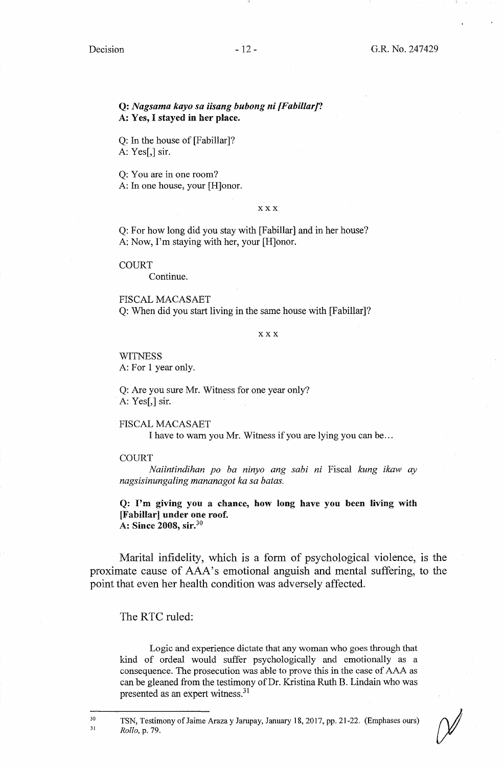## **Q:** *Nagsama kayo sa iisang bubong ni [Fabillar]?*  **A: Yes,** I **stayed in her place.**

Q: In the house of [Fabillar]? A: Yes[,] sir.

Q: You are in one room? A: In one house, your [H]onor.

#### **XXX**

Q: For how long did you stay with [Fabillar] and in her house? A: Now, I'm staying with her, your [H]onor.

**COURT** 

Continue.

FISCAL MACASAET Q: When did you start living in the same house with [Fabillar]?

**XXX** 

**WITNESS** A: For 1 year only.

Q: Are you sure Mr. Witness for one year only? A: Yes[,] sir.

FISCAL MACASAET I have to warn you Mr. Witness if you are lying you can be ...

## **COURT**

*Naiintindihan po ba ninyo ang sabi ni* Fiscal *kung ikaw ay nagsisinungaling mananagot ka sa batas.* 

**Q: I'm giving you a chance, how long have you been living with [Fabillar] under one roof. A: Since 2008, sir.<sup>30</sup>**

Marital infidelity, which is a form of psychological violence, is the proximate cause of AAA's emotional anguish and mental suffering, to the point that even her health condition was adversely affected.

The RTC ruled:

30 31

Logic and experience dictate that any woman who goes through that kind of ordeal would suffer psychologically and emotionally as a consequence. The prosecution was able to prove this in the case of AAA as can be gleaned from the testimony of Dr. Kristina Ruth B. Lindain who was presented as an expert witness.<sup>31</sup>

TSN, Testimony of Jaime Araza y Jarupay, January 18, 2017, pp. 21-22. (Emphases ours) *Rollo,* p. 79.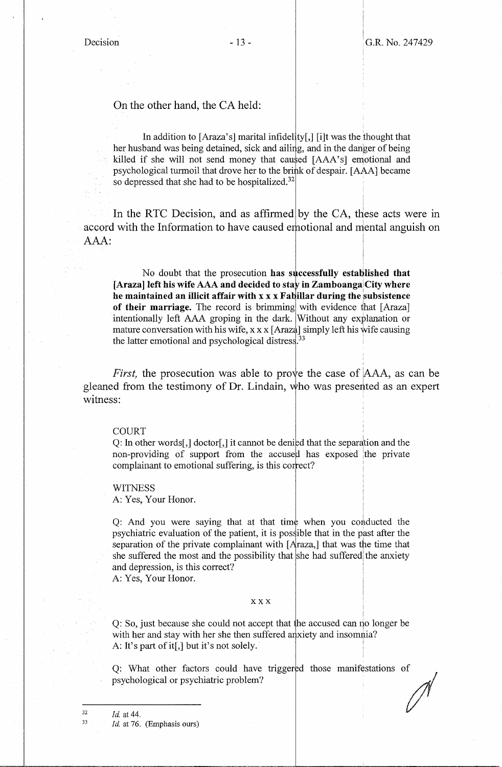i

On the other hand, the CA held:

In addition to  $[Araza's]$  marital infidelity $\int$ ,  $\int$  i]t was the thought that her husband was being detained, sick and ailing, and in the danger of being killed if she will not send money that caused [AAA's] emotional and psychological turmoil that drove her to the brink of despair. [AAA] became so depressed that she had to be hospitalized. $32$ 

In the RTC Decision, and as affirmed by the CA, these acts were in accord with the Information to have caused emotional and mental anguish on AAA:

No doubt that the prosecution has successfully established that [Araza] left his wife AAA and decided to stay in Zamboanga<sup>]</sup>City where **he maintained an illicit affair with x x x Fabillar during the subsistence of their marriage.** The record is brimming with evidence that [Araza] intentionally left AAA groping in the dark. Without any explanation or mature conversation with his wife,  $x \times x$  [Araza] simply left his wife causing the latter emotional and psychological distress.<sup>33</sup>

*First*, the prosecution was able to prove the case of AAA, as can be gleaned from the testimony of Dr. Lindain, who was presented as an expert witness:

## COURT

Q: In other words[,] doctor[,] it cannot be deniged that the separation and the non-providing of support from the accused has exposed the private complainant to emotional suffering, is this correct?

**WITNESS** A: Yes, Your Honor.

Q: And you were saying that at that time when you conducted the psychiatric evaluation of the patient, it is possible that in the past after the separation of the private complainant with  $[Araza,]$  that was the time that she suffered the most and the possibility that she had suffered the anxiety and depression, is this correct?

A: Yes, Your Honor.

## **XXX**

Q: So, just because she could not accept that the accused can no longer be with her and stay with her she then suffered anxiety and insomnia? A: It's part of it[,] but it's not solely.

Q: What other factors could have triggered those manifestations of psychological or psychiatric problem?

*Id* at 44. *Id.* at 76. (Emphasis ours)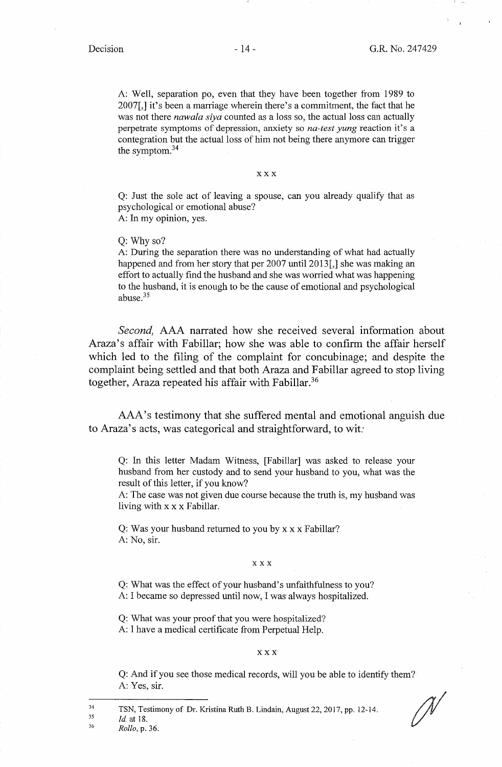A: Well, separation po, even that they have been together from 1989 to 2007[,] it's been a marriage wherein there's a commitment, the fact that he was not there *nawala siya* counted as a loss so, the actual loss can actually perpetrate symptoms of depression, anxiety so *na-test yung* reaction it's a contegration but the actual loss of him not being there anymore can trigger the symptom. 34

**XXX** 

Q: Just the sole act of leaving a spouse, can you already qualify that as psychological or emotional abuse? A: In my opinion, yes.

Q: Why so?

A: During the separation there was no understanding of what had actually happened and from her story that per 2007 until 2013<sup>[1]</sup>, she was making an effort to actually find the husband and she was worried what was happening to the husband, it is enough to be the cause of emotional and psychological abuse.<sup>35</sup>

*Second,* AAA narrated how she received several information about Araza's affair with Fabillar; how she was able to confirm the affair herself which led to the filing of the complaint for concubinage; and despite the complaint being settled and that both Araza and Fabillar agreed to stop living together, Araza repeated his affair with Fabillar.<sup>36</sup>

AAA's testimony that she suffered mental and emotional anguish due to Araza's acts, was categorical and straightforward, to wit:

Q: In this letter Madam Witness, [Fabillar] was asked to release your husband from her custody and to send your husband to you, what was the result of this letter, if you know?

A: The case was not given due course because the truth is, my husband was living with xx x Fabillar.

Q: Was your husband returned to you by xx x Fabillar? A: No, sir.

## XXX

Q: What was the effect of your husband's unfaithfulness to you? A: I became so depressed until now, I was always hospitalized.

Q: What was your proof that you were hospitalized? A: I have a medical certificate from Perpetual Help.

#### XXX

Q: And if you see those medical records, will you be able to identify them? A: Yes, sir.

TSN, Testimony of Dr. Kristina Ruth B. Lindain, August 22, 2017, pp. 12-14.

<sup>35</sup>  *Id* at 18.

<sup>36</sup>  *Rollo,* p. 36.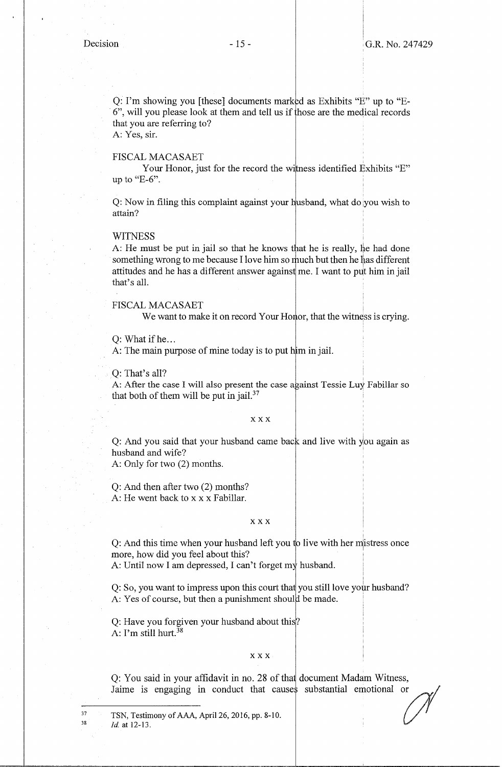Q: I'm showing you [these] documents marked as Exhibits "E" up to "E-6", will you please look at them and tell us if those are the medical records that you are referring to?

A: Yes, sir.

## FISCAL MACASAET

Your Honor, just for the record the witness identified Exhibits "E" up to " $E-6$ ".

Q: Now in filing this complaint against your husband, what do you wish to attain?

## **WITNESS**

A: He must be put in jail so that he knows that he is really, he had done something wrong to me because I love him so much but then he has different attitudes and he has a different answer against me. I want to put him in jail that's all.

FISCAL MACASAET

We want to make it on record Your Honor, that the witness is crying.

 $Q: What if he...$ 

A: The main purpose of mine today is to put him in jail.

 $Q:$  That's all?

A: After the case I will also present the case against Tessie Luy Fabillar so that both of them will be put in jail.<sup>37</sup>

## **XXX**

Q: And you said that your husband came back and live with you again as husband and wife? <sup>1</sup>

A: Only for two (2) months.

Q: And then after two (2) months? A: He went back to x x x Fabillar.

## **XXX**

Q: And this time when your husband left you to live with her mistress once more, how did you feel about this? I

A: Until now I am depressed, I can't forget my husband.

Q: So, you want to impress upon this court that you still love your husband? A: Yes of course, but then a punishment should be made.

Q: Have you forgiven your husband about this? A: I'm still hurt.<sup>38</sup>

## **XXX**

Q: You said in your affidavit in no. 28 of that document Madam Witness, Jaime is engaging in conduct that causes substantial emotional or

TSN, Testimony of AAA, April 26, 2016, pp. 8-10. , *{/* / *Id.* at 12-13.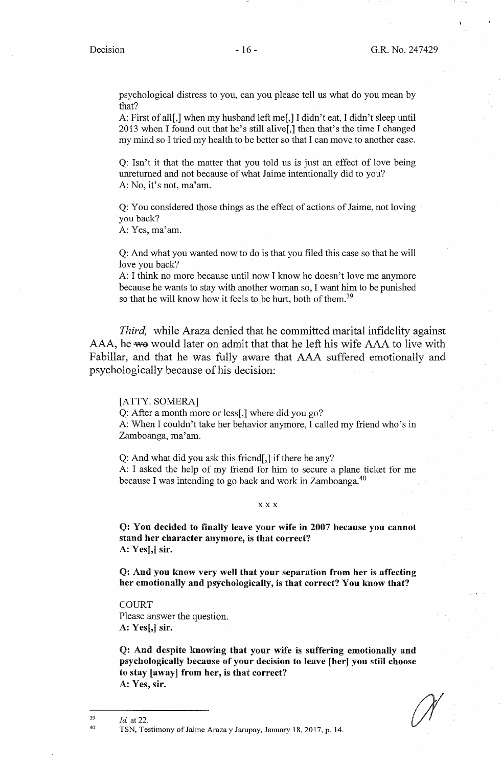psychological distress to you, can you please tell us what do you mean by that?

A: First of all[,] when my husband left me[,] I didn't eat, I didn't sleep until 2013 when I found out that he's still alive[,] then that's the time I changed my mind so I tried my health to be better so that I can move to another case.

Q: Isn't it that the matter that you told us is just an effect of love being unreturned and not because of what Jaime intentionally did to you? A: No, it's not, ma'am.

Q: You considered those things as the effect of actions of Jaime, not loving you back?

A: Yes, ma'am.

Q: And what you wanted now to do is that you filed this case so that he will love you back?

A: I think no more because until now I know he doesn't love me anymore because he wants to stay with another woman so, I want him to be punished so that he will know how it feels to be hurt, both of them.<sup>39</sup>

*Third,* while Araza denied that he committed marital infidelity against AAA, he we would later on admit that that he left his wife AAA to live with Fabillar, and that he was fully aware that AAA suffered emotionally and psychologically because of his decision:

[ATTY. SOMERA]

Q: After a month more or less[,] where did you go?

A: When I couldn't take her behavior anymore, I called my friend who's in Zamboanga, ma'am.

Q: And what did you ask this friend[,] if there be any? A: I asked the help of my friend for him to secure a plane ticket for me because I was intending to go back and work in Zamboanga.<sup>40</sup>

## **XXX**

**Q: You decided to finally leave your wife in 2007 because you cannot stand her character anymore,** is **that correct? A:** Yes[,] sir.

**Q: And you know very well that your separation from her is affecting her emotionally and psychologically, is that correct? You know that?** 

**COURT** Please answer the question. **A: Yes[,] sir.** 

**Q: And despite knowing that your wife is suffering emotionally and psychologically because of your decision to leave [her] you still choose to stay [away] from her, is that correct?**  A: **Yes, sir.** 

*Id* at 22.

TSN, Testimony of Jaime Araza y Jarupay, January 18, 2017, p. 14.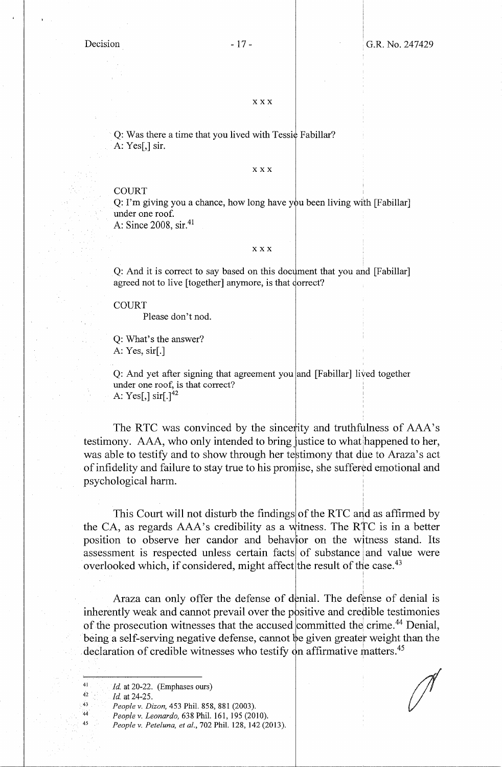## **XXX**

Q: Was there a time that you lived with Tessic Fabillar? A: Yes[,] sir.

#### **XXX**

## **COURT**

Q: I'm giving you a chance, how long have you been living with [Fabillar] under one roof.

A: Since 2008, sir.41

#### XXX

Q: And it is correct to say based on this document that you and [Fabillar] agreed not to live [together] anymore, is that dorrect?

**COURT** 

Please don't nod.

Q: What's the answer? A: Yes, sir[.]

Q: And yet after signing that agreement you and [Fabillar] lived together under one roof, is that correct? A: Yes[,]  $\sin[.]^{42}$ 

The RTC was convinced by the sincerity and truthfulness of AAA's testimony. AAA, who only intended to bring justice to what happened to her, was able to testify and to show through her testimony that due to Araza's act of infidelity and failure to stay true to his promise, she suffered emotional and psychological harm.

> I I

I

This Court will not disturb the findings of the RTC and as affirmed by the CA, as regards  $AAA$ 's credibility as a witness. The RTC is in a better position to observe her candor and behavior on the witness stand. Its assessment is respected unless certain facts of substance and value were overlooked which, if considered, might affect the result of the case.<sup>43</sup>

Araza can only offer the defense of denial. The defense of denial is inherently weak and cannot prevail over the positive and credible testimonies of the prosecution witnesses that the accused committed the crime.<sup>44</sup> Denial, being a self-serving negative defense, cannot be given greater weight than the declaration of credible witnesses who testify on affirmative matters.<sup>45</sup>

*People v. Peteluna, et al.,* 702 Phil. 128, 142 (2013).

*Id.* at 20-22. (Emphases ours)

*Id.* at 24-25.

*People v. Dizon,* 453 Phil. 858, 881 (2003).

*People v. Leonardo,* 638 Phil. 161, 195 (2010).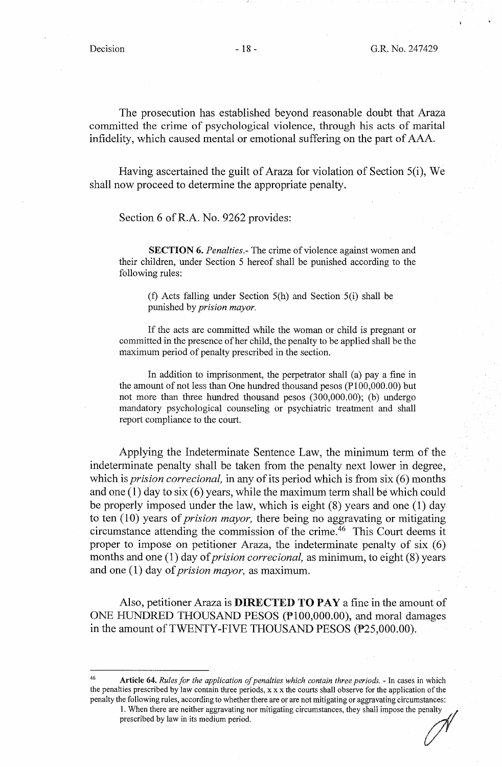The prosecution has established beyond reasonable doubt that Araza committed the crime of psychological violence, through his acts of marital infidelity, which caused mental or emotional suffering on the part of AAA.

Having ascertained the guilt of Araza for violation of Section 5(i), We shall now proceed to determine the appropriate penalty.

Section 6 of R.A. No. 9262 provides:

**SECTION 6.** *Penalties*. The crime of violence against women and their children, under Section 5 hereof shall be punished according to the following rules:

(f) Acts falling under Section 5(h) and Section 5(i) shall be punished by *prision mayor.* 

If the acts are committed while the woman or child is pregnant or committed in the presence of her child, the penalty to be applied shall be the maximum period of penalty prescribed in the section.

In addition to imprisonment, the perpetrator shall (a) pay a fine in the amount of not less than One hundred thousand pesos (Pl00,000.00) but not more than three hundred thousand pesos (300,000.00); (b) undergo mandatory psychological counseling or psychiatric treatment and shall report compliance to the court.

Applying the Indeterminate Sentence Law, the minimum term of the indeterminate penalty shall be taken from the penalty next lower in degree, which is *prision correcional,* in any of its period which is from six (6) months and one (1) day to six (6) years, while the maximum term shall be which could be properly imposed under the law, which is eight (8) years and one (1) day to ten (10) years of *prision mayor,* there being no aggravating or mitigating circumstance attending the commission of the crime. 46 This Court deems it proper to impose on petitioner Araza, the indeterminate penalty of six (6) months and one (1) day of *prision correcional*, as minimum, to eight (8) years and one ( 1) day of *prision mayor,* as maximum.

Also, petitioner Araza is **DIRECTED TO PAY** a fine in the amount of ONE HUNDRED THOUSAND PESOS (P100,000.00), and moral damages in the amount of TWENTY-FIVE THOUSAND PESOS (P25,000.00).

<sup>46</sup>**Article 64.** *Rules for the application of penalties which contain three periods.* - In cases in which the penalties prescribed by law contain three periods,  $x \times x$  the courts shall observe for the application of the penalty the following rules, according to whether there are or are not mitigating or aggravating circumstances:

<sup>1.</sup> When there are neither aggravating nor mitigating circumstances, they shall impose the penalty prescribed by law in its medium period.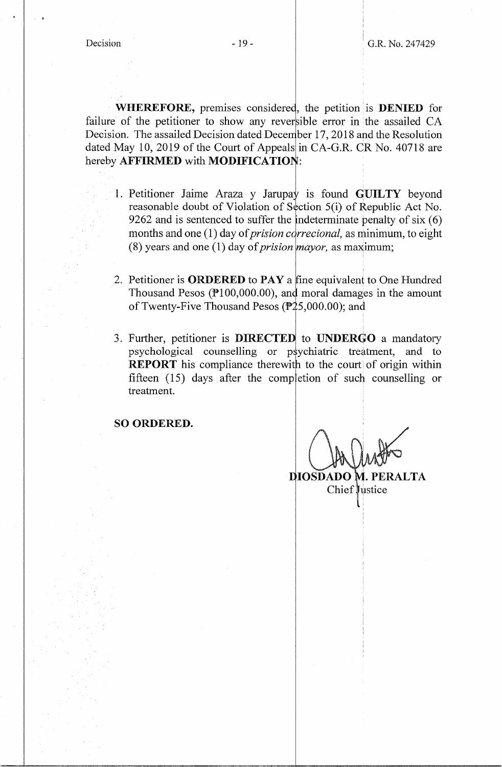**WHEREFORE,** premises considered, the petition is **DENIED** for failure of the petitioner to show any reversible error in the assailed  $CA$ Decision. The assailed Decision dated December 17, 2018 and the Resolution dated May 10, 2019 of the Court of Appeals in CA-G.R. CR No. 40718 are hereby **AFFIRMED** with **MODIFICATION**:

- 1. Petitioner Jaime Araza y Jarupay is found **GUILTY** beyond reasonable doubt of Violation of Section 5(i) of Republic Act No. 9262 and is sentenced to suffer the indeterminate penalty of  $s$ ix  $(6)$ months and one (1) day of *prision correcional*, as minimum, to eight (8) years and one (1) day of *prision mayor*, as maximum;
- 2. Petitioner is **ORDERED** to **PAY** a fine equivalent to One Hundred Thousand Pesos  $(\mathbb{P}100,000.00)$ , and moral damages in the amount of Twenty-Five Thousand Pesos ( $\mathbb{P}25,000.00$ ); and
- 3. Further, petitioner is **DIRECTED** to **UNDERGO** a mandatory psychological counselling or psychiatric treatment, and to **REPORT** his compliance therewith to the court of origin within fifteen  $(15)$  days after the completion of such counselling or treatment.

**SO ORDERED.** 

**DIOSDADO M. PERALTA**  $Chief$  ustice

l.